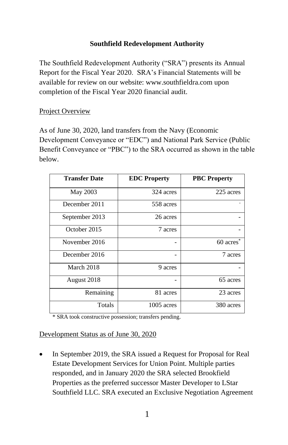# **Southfield Redevelopment Authority**

The Southfield Redevelopment Authority ("SRA") presents its Annual Report for the Fiscal Year 2020. SRA's Financial Statements will be available for review on our website[: www.southfieldra.com](http://www.southfieldra.com/) upon completion of the Fiscal Year 2020 financial audit.

### Project Overview

As of June 30, 2020, land transfers from the Navy (Economic Development Conveyance or "EDC") and National Park Service (Public Benefit Conveyance or "PBC") to the SRA occurred as shown in the table below.

| <b>Transfer Date</b> | <b>EDC</b> Property | <b>PBC Property</b>   |
|----------------------|---------------------|-----------------------|
| May 2003             | 324 acres           | 225 acres             |
| December 2011        | 558 acres           |                       |
| September 2013       | 26 acres            |                       |
| October 2015         | 7 acres             |                       |
| November 2016        |                     | 60 acres <sup>*</sup> |
| December 2016        |                     | 7 acres               |
| March 2018           | 9 acres             |                       |
| August 2018          |                     | 65 acres              |
| Remaining            | 81 acres            | 23 acres              |
| Totals               | 1005 acres          | 380 acres             |

\* SRA took constructive possession; transfers pending.

#### Development Status as of June 30, 2020

• In September 2019, the SRA issued a Request for Proposal for Real Estate Development Services for Union Point. Multiple parties responded, and in January 2020 the SRA selected Brookfield Properties as the preferred successor Master Developer to LStar Southfield LLC. SRA executed an Exclusive Negotiation Agreement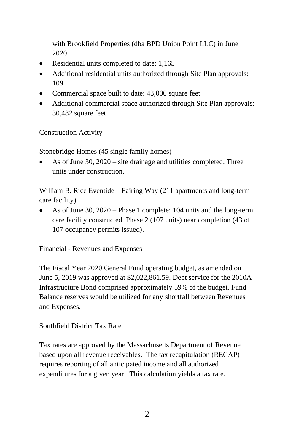with Brookfield Properties (dba BPD Union Point LLC) in June 2020.

- Residential units completed to date: 1,165
- Additional residential units authorized through Site Plan approvals: 109
- Commercial space built to date: 43,000 square feet
- Additional commercial space authorized through Site Plan approvals: 30,482 square feet

#### Construction Activity

Stonebridge Homes (45 single family homes)

• As of June 30, 2020 – site drainage and utilities completed. Three units under construction.

William B. Rice Eventide – Fairing Way (211 apartments and long-term care facility)

• As of June 30, 2020 – Phase 1 complete: 104 units and the long-term care facility constructed. Phase 2 (107 units) near completion (43 of 107 occupancy permits issued).

#### Financial - Revenues and Expenses

The Fiscal Year 2020 General Fund operating budget, as amended on June 5, 2019 was approved at \$2,022,861.59. Debt service for the 2010A Infrastructure Bond comprised approximately 59% of the budget. Fund Balance reserves would be utilized for any shortfall between Revenues and Expenses.

#### Southfield District Tax Rate

Tax rates are approved by the Massachusetts Department of Revenue based upon all revenue receivables. The tax recapitulation (RECAP) requires reporting of all anticipated income and all authorized expenditures for a given year. This calculation yields a tax rate.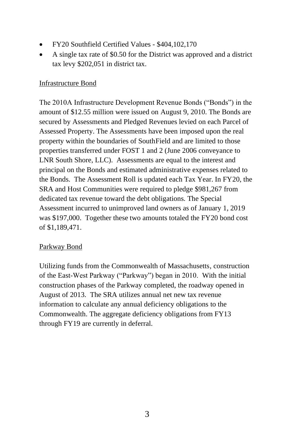- FY20 Southfield Certified Values \$404,102,170
- A single tax rate of \$0.50 for the District was approved and a district tax levy \$202,051 in district tax.

### Infrastructure Bond

The 2010A Infrastructure Development Revenue Bonds ("Bonds") in the amount of \$12.55 million were issued on August 9, 2010. The Bonds are secured by Assessments and Pledged Revenues levied on each Parcel of Assessed Property. The Assessments have been imposed upon the real property within the boundaries of SouthField and are limited to those properties transferred under FOST 1 and 2 (June 2006 conveyance to LNR South Shore, LLC). Assessments are equal to the interest and principal on the Bonds and estimated administrative expenses related to the Bonds. The Assessment Roll is updated each Tax Year. In FY20, the SRA and Host Communities were required to pledge \$981,267 from dedicated tax revenue toward the debt obligations. The Special Assessment incurred to unimproved land owners as of January 1, 2019 was \$197,000. Together these two amounts totaled the FY20 bond cost of \$1,189,471.

#### Parkway Bond

Utilizing funds from the Commonwealth of Massachusetts, construction of the East-West Parkway ("Parkway") began in 2010. With the initial construction phases of the Parkway completed, the roadway opened in August of 2013. The SRA utilizes annual net new tax revenue information to calculate any annual deficiency obligations to the Commonwealth. The aggregate deficiency obligations from FY13 through FY19 are currently in deferral.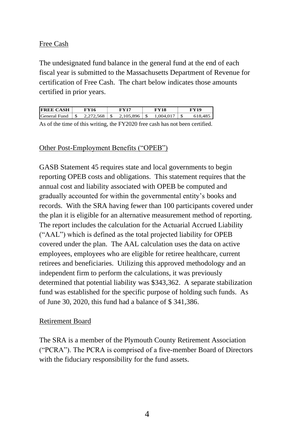### Free Cash

The undesignated fund balance in the general fund at the end of each fiscal year is submitted to the Massachusetts Department of Revenue for certification of Free Cash. The chart below indicates those amounts certified in prior years.

| 1.004.017<br>-\$<br>$2.105.896$ S<br>2.272.568<br>618,485 | <b>FREE CASH</b> | FY16 | FV17 | FY18 | FY19 |
|-----------------------------------------------------------|------------------|------|------|------|------|
|                                                           | General Fund     |      |      |      |      |

As of the time of this writing, the FY2020 free cash has not been certified.

#### Other Post-Employment Benefits ("OPEB")

GASB Statement 45 requires state and local governments to begin reporting OPEB costs and obligations. This statement requires that the annual cost and liability associated with OPEB be computed and gradually accounted for within the governmental entity's books and records. With the SRA having fewer than 100 participants covered under the plan it is eligible for an alternative measurement method of reporting. The report includes the calculation for the Actuarial Accrued Liability ("AAL") which is defined as the total projected liability for OPEB covered under the plan. The AAL calculation uses the data on active employees, employees who are eligible for retiree healthcare, current retirees and beneficiaries. Utilizing this approved methodology and an independent firm to perform the calculations, it was previously determined that potential liability was \$343,362. A separate stabilization fund was established for the specific purpose of holding such funds. As of June 30, 2020, this fund had a balance of \$ 341,386.

#### Retirement Board

The SRA is a member of the Plymouth County Retirement Association ("PCRA"). The PCRA is comprised of a five-member Board of Directors with the fiduciary responsibility for the fund assets.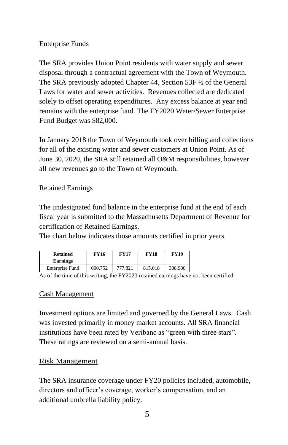### Enterprise Funds

The SRA provides Union Point residents with water supply and sewer disposal through a contractual agreement with the Town of Weymouth. The SRA previously adopted Chapter 44, Section 53F ½ of the General Laws for water and sewer activities. Revenues collected are dedicated solely to offset operating expenditures. Any excess balance at year end remains with the enterprise fund. The FY2020 Water/Sewer Enterprise Fund Budget was \$82,000.

In January 2018 the Town of Weymouth took over billing and collections for all of the existing water and sewer customers at Union Point. As of June 30, 2020, the SRA still retained all O&M responsibilities, however all new revenues go to the Town of Weymouth.

#### Retained Earnings

The undesignated fund balance in the enterprise fund at the end of each fiscal year is submitted to the Massachusetts Department of Revenue for certification of Retained Earnings.

The chart below indicates those amounts certified in prior years.

| <b>Retained</b><br><b>Earnings</b> | FY16    | <b>FY17</b> | <b>FY18</b> | <b>FY19</b> |
|------------------------------------|---------|-------------|-------------|-------------|
| Enterprise Fund                    | 600.752 | 777.821     | 815.018     | 308,980     |

As of the time of this writing, the FY2020 retained earnings have not been certified.

# Cash Management

Investment options are limited and governed by the General Laws. Cash was invested primarily in money market accounts. All SRA financial institutions have been rated by Veribanc as "green with three stars". These ratings are reviewed on a semi-annual basis.

# Risk Management

The SRA insurance coverage under FY20 policies included, automobile, directors and officer's coverage, worker's compensation, and an additional umbrella liability policy.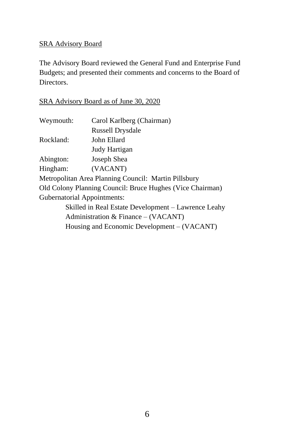## SRA Advisory Board

The Advisory Board reviewed the General Fund and Enterprise Fund Budgets; and presented their comments and concerns to the Board of Directors.

# SRA Advisory Board as of June 30, 2020

| Weymouth:                   | Carol Karlberg (Chairman)                                 |
|-----------------------------|-----------------------------------------------------------|
|                             | <b>Russell Drysdale</b>                                   |
| Rockland:                   | John Ellard                                               |
|                             | Judy Hartigan                                             |
| Abington:                   | Joseph Shea                                               |
| Hingham:                    | (VACANT)                                                  |
|                             | Metropolitan Area Planning Council: Martin Pillsbury      |
|                             | Old Colony Planning Council: Bruce Hughes (Vice Chairman) |
| Gubernatorial Appointments: |                                                           |
|                             | Skilled in Real Estate Development – Lawrence Leahy       |
|                             | Administration & Finance $-$ (VACANT)                     |
|                             | Housing and Economic Development – (VACANT)               |